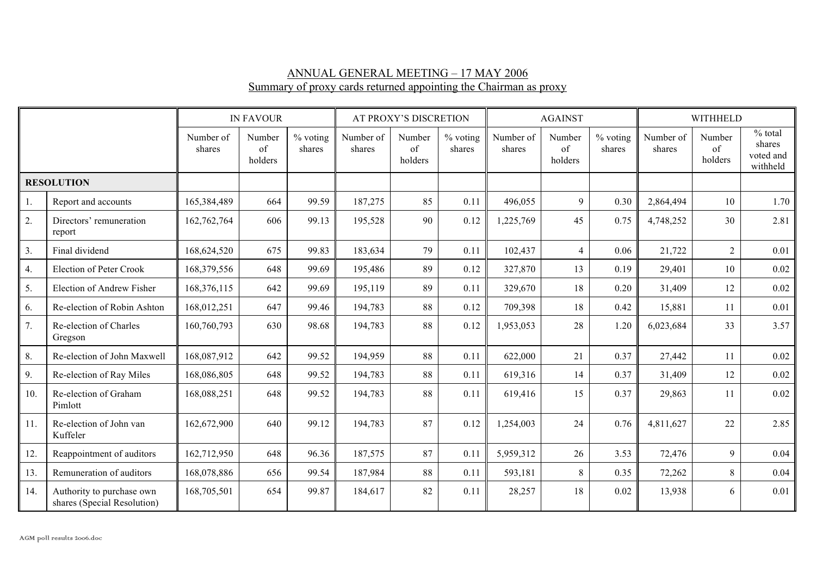## ANNUAL GENERAL MEETING – 17 MAY 2006 Summary of proxy cards returned appointing the Chairman as proxy

|                   |                                                          | <b>IN FAVOUR</b>    |                         |                    | AT PROXY'S DISCRETION |                         |                    | <b>AGAINST</b>      |                         |                    | <b>WITHHELD</b>     |                         |                                              |
|-------------------|----------------------------------------------------------|---------------------|-------------------------|--------------------|-----------------------|-------------------------|--------------------|---------------------|-------------------------|--------------------|---------------------|-------------------------|----------------------------------------------|
|                   |                                                          | Number of<br>shares | Number<br>of<br>holders | % voting<br>shares | Number of<br>shares   | Number<br>of<br>holders | % voting<br>shares | Number of<br>shares | Number<br>of<br>holders | % voting<br>shares | Number of<br>shares | Number<br>of<br>holders | $%$ total<br>shares<br>voted and<br>withheld |
| <b>RESOLUTION</b> |                                                          |                     |                         |                    |                       |                         |                    |                     |                         |                    |                     |                         |                                              |
| 1.                | Report and accounts                                      | 165,384,489         | 664                     | 99.59              | 187,275               | 85                      | 0.11               | 496,055             | 9                       | 0.30               | 2,864,494           | 10                      | 1.70                                         |
| 2.                | Directors' remuneration<br>report                        | 162,762,764         | 606                     | 99.13              | 195,528               | 90                      | 0.12               | 1,225,769           | 45                      | 0.75               | 4,748,252           | 30                      | 2.81                                         |
| 3.                | Final dividend                                           | 168,624,520         | 675                     | 99.83              | 183,634               | 79                      | 0.11               | 102,437             | $\overline{4}$          | 0.06               | 21,722              | $\overline{2}$          | 0.01                                         |
| 4.                | <b>Election of Peter Crook</b>                           | 168,379,556         | 648                     | 99.69              | 195,486               | 89                      | 0.12               | 327,870             | 13                      | 0.19               | 29,401              | 10                      | 0.02                                         |
| 5.                | <b>Election of Andrew Fisher</b>                         | 168,376,115         | 642                     | 99.69              | 195,119               | 89                      | 0.11               | 329,670             | 18                      | 0.20               | 31,409              | 12                      | 0.02                                         |
| 6.                | Re-election of Robin Ashton                              | 168,012,251         | 647                     | 99.46              | 194,783               | 88                      | 0.12               | 709,398             | 18                      | 0.42               | 15,881              | 11                      | 0.01                                         |
| 7.                | Re-election of Charles<br>Gregson                        | 160,760,793         | 630                     | 98.68              | 194,783               | 88                      | 0.12               | 1,953,053           | 28                      | 1.20               | 6,023,684           | 33                      | 3.57                                         |
| 8.                | Re-election of John Maxwell                              | 168,087,912         | 642                     | 99.52              | 194,959               | 88                      | 0.11               | 622,000             | 21                      | 0.37               | 27,442              | 11                      | 0.02                                         |
| 9.                | Re-election of Ray Miles                                 | 168,086,805         | 648                     | 99.52              | 194,783               | 88                      | 0.11               | 619,316             | 14                      | 0.37               | 31,409              | 12                      | 0.02                                         |
| 10.               | Re-election of Graham<br>Pimlott                         | 168,088,251         | 648                     | 99.52              | 194,783               | 88                      | 0.11               | 619,416             | 15                      | 0.37               | 29,863              | 11                      | 0.02                                         |
| 11.               | Re-election of John van<br>Kuffeler                      | 162,672,900         | 640                     | 99.12              | 194,783               | 87                      | 0.12               | 1,254,003           | 24                      | 0.76               | 4,811,627           | 22                      | 2.85                                         |
| 12.               | Reappointment of auditors                                | 162,712,950         | 648                     | 96.36              | 187,575               | 87                      | 0.11               | 5,959,312           | 26                      | 3.53               | 72,476              | 9                       | 0.04                                         |
| 13.               | Remuneration of auditors                                 | 168,078,886         | 656                     | 99.54              | 187,984               | 88                      | 0.11               | 593,181             | 8                       | 0.35               | 72,262              | 8                       | 0.04                                         |
| 14.               | Authority to purchase own<br>shares (Special Resolution) | 168,705,501         | 654                     | 99.87              | 184,617               | 82                      | 0.11               | 28,257              | 18                      | 0.02               | 13,938              | 6                       | 0.01                                         |